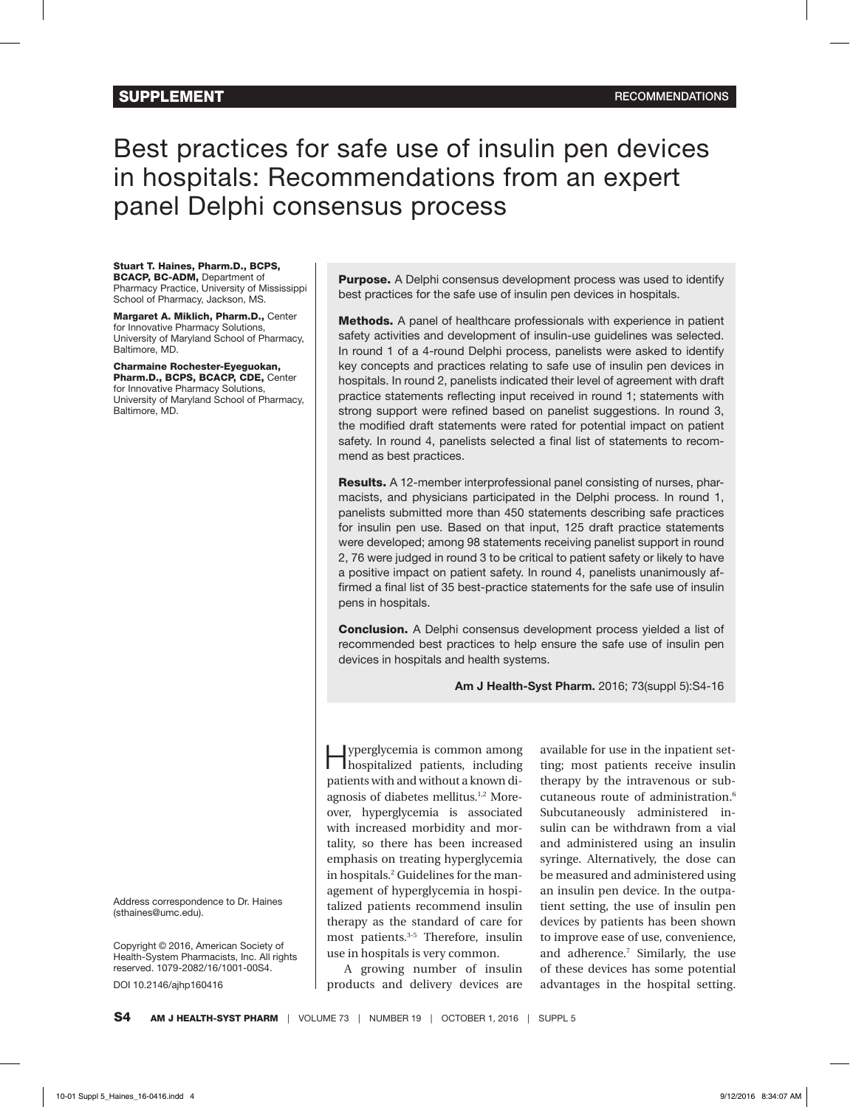# Best practices for safe use of insulin pen devices in hospitals: Recommendations from an expert panel Delphi consensus process

Stuart T. Haines, Pharm.D., BCPS, BCACP, BC-ADM, Department of Pharmacy Practice, University of Mississippi School of Pharmacy, Jackson, MS.

Margaret A. Miklich, Pharm.D., Center for Innovative Pharmacy Solutions, University of Maryland School of Pharmacy, Baltimore, MD.

Charmaine Rochester-Eyeguokan, Pharm.D., BCPS, BCACP, CDE, Center for Innovative Pharmacy Solutions, University of Maryland School of Pharmacy, Baltimore, MD.

Address correspondence to Dr. Haines (sthaines@umc.edu).

Copyright © 2016, American Society of Health-System Pharmacists, Inc. All rights reserved. 1079-2082/16/1001-00S4.

DOI 10.2146/ajhp160416

Purpose. A Delphi consensus development process was used to identify best practices for the safe use of insulin pen devices in hospitals.

Methods. A panel of healthcare professionals with experience in patient safety activities and development of insulin-use guidelines was selected. In round 1 of a 4-round Delphi process, panelists were asked to identify key concepts and practices relating to safe use of insulin pen devices in hospitals. In round 2, panelists indicated their level of agreement with draft practice statements reflecting input received in round 1; statements with strong support were refined based on panelist suggestions. In round 3, the modified draft statements were rated for potential impact on patient safety. In round 4, panelists selected a final list of statements to recommend as best practices.

Results. A 12-member interprofessional panel consisting of nurses, pharmacists, and physicians participated in the Delphi process. In round 1, panelists submitted more than 450 statements describing safe practices for insulin pen use. Based on that input, 125 draft practice statements were developed; among 98 statements receiving panelist support in round 2, 76 were judged in round 3 to be critical to patient safety or likely to have a positive impact on patient safety. In round 4, panelists unanimously affirmed a final list of 35 best-practice statements for the safe use of insulin pens in hospitals.

**Conclusion.** A Delphi consensus development process yielded a list of recommended best practices to help ensure the safe use of insulin pen devices in hospitals and health systems.

**Am J Health-Syst Pharm.** 2016; 73(suppl 5):S4-16

Hyperglycemia is common among hospitalized patients, including patients with and without a known diagnosis of diabetes mellitus.1,2 Moreover, hyperglycemia is associated with increased morbidity and mortality, so there has been increased emphasis on treating hyperglycemia in hospitals.<sup>2</sup> Guidelines for the management of hyperglycemia in hospitalized patients recommend insulin therapy as the standard of care for most patients.3-5 Therefore, insulin use in hospitals is very common.

A growing number of insulin products and delivery devices are available for use in the inpatient setting; most patients receive insulin therapy by the intravenous or subcutaneous route of administration.6 Subcutaneously administered insulin can be withdrawn from a vial and administered using an insulin syringe. Alternatively, the dose can be measured and administered using an insulin pen device. In the outpatient setting, the use of insulin pen devices by patients has been shown to improve ease of use, convenience, and adherence.7 Similarly, the use of these devices has some potential advantages in the hospital setting.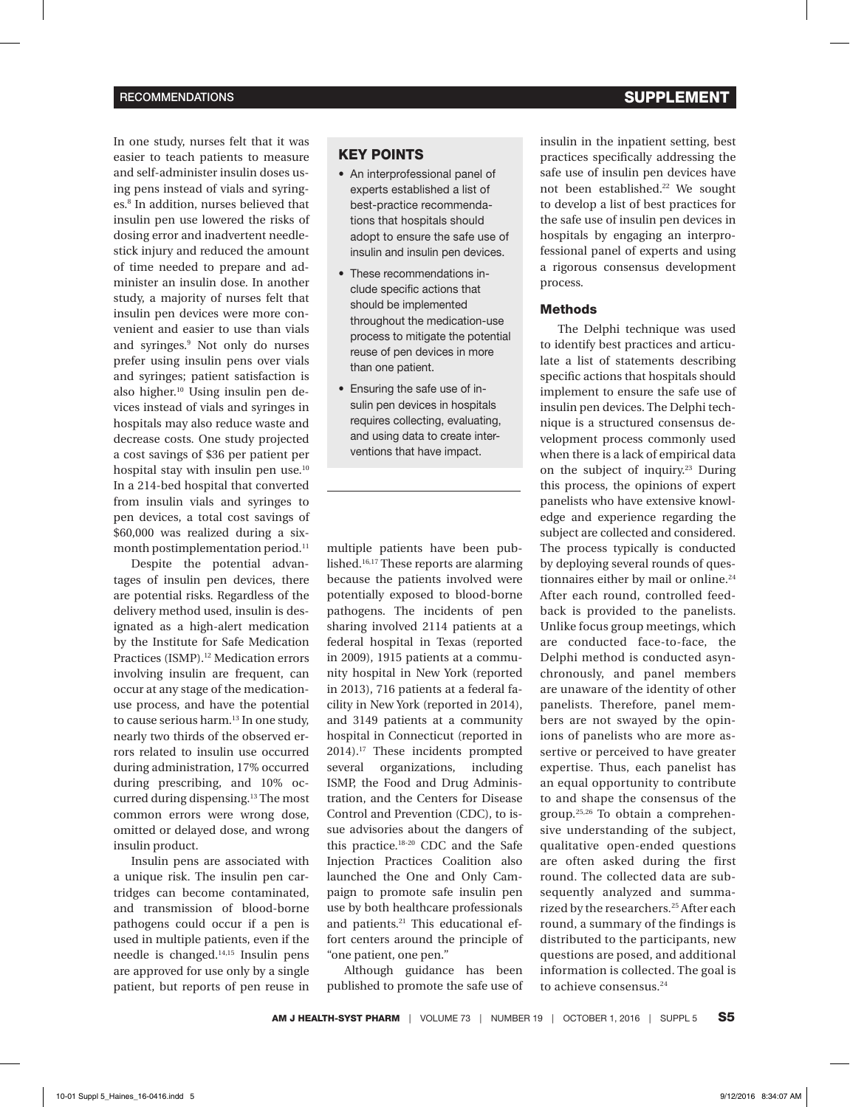In one study, nurses felt that it was easier to teach patients to measure and self-administer insulin doses using pens instead of vials and syringes.8 In addition, nurses believed that insulin pen use lowered the risks of dosing error and inadvertent needlestick injury and reduced the amount of time needed to prepare and administer an insulin dose. In another study, a majority of nurses felt that insulin pen devices were more convenient and easier to use than vials and syringes.9 Not only do nurses prefer using insulin pens over vials and syringes; patient satisfaction is also higher.10 Using insulin pen devices instead of vials and syringes in hospitals may also reduce waste and decrease costs. One study projected a cost savings of \$36 per patient per hospital stay with insulin pen use.<sup>10</sup> In a 214-bed hospital that converted from insulin vials and syringes to pen devices, a total cost savings of \$60,000 was realized during a sixmonth postimplementation period.<sup>11</sup>

Despite the potential advantages of insulin pen devices, there are potential risks. Regardless of the delivery method used, insulin is designated as a high-alert medication by the Institute for Safe Medication Practices (ISMP).<sup>12</sup> Medication errors involving insulin are frequent, can occur at any stage of the medicationuse process, and have the potential to cause serious harm.<sup>13</sup> In one study, nearly two thirds of the observed errors related to insulin use occurred during administration, 17% occurred during prescribing, and 10% occurred during dispensing.13 The most common errors were wrong dose, omitted or delayed dose, and wrong insulin product.

Insulin pens are associated with a unique risk. The insulin pen cartridges can become contaminated, and transmission of blood-borne pathogens could occur if a pen is used in multiple patients, even if the needle is changed.14,15 Insulin pens are approved for use only by a single patient, but reports of pen reuse in

## KEY POINTS

- An interprofessional panel of experts established a list of best-practice recommendations that hospitals should adopt to ensure the safe use of insulin and insulin pen devices.
- These recommendations include specific actions that should be implemented throughout the medication-use process to mitigate the potential reuse of pen devices in more than one patient.
- Ensuring the safe use of insulin pen devices in hospitals requires collecting, evaluating, and using data to create interventions that have impact.

multiple patients have been published.16,17 These reports are alarming because the patients involved were potentially exposed to blood-borne pathogens. The incidents of pen sharing involved 2114 patients at a federal hospital in Texas (reported in 2009), 1915 patients at a community hospital in New York (reported in 2013), 716 patients at a federal facility in New York (reported in 2014), and 3149 patients at a community hospital in Connecticut (reported in 2014).17 These incidents prompted several organizations, including ISMP, the Food and Drug Administration, and the Centers for Disease Control and Prevention (CDC), to issue advisories about the dangers of this practice.18-20 CDC and the Safe Injection Practices Coalition also launched the One and Only Campaign to promote safe insulin pen use by both healthcare professionals and patients.<sup>21</sup> This educational effort centers around the principle of "one patient, one pen."

Although guidance has been published to promote the safe use of insulin in the inpatient setting, best practices specifically addressing the safe use of insulin pen devices have not been established.<sup>22</sup> We sought to develop a list of best practices for the safe use of insulin pen devices in hospitals by engaging an interprofessional panel of experts and using a rigorous consensus development process.

#### **Methods**

The Delphi technique was used to identify best practices and articulate a list of statements describing specific actions that hospitals should implement to ensure the safe use of insulin pen devices. The Delphi technique is a structured consensus development process commonly used when there is a lack of empirical data on the subject of inquiry.23 During this process, the opinions of expert panelists who have extensive knowledge and experience regarding the subject are collected and considered. The process typically is conducted by deploying several rounds of questionnaires either by mail or online.24 After each round, controlled feedback is provided to the panelists. Unlike focus group meetings, which are conducted face-to-face, the Delphi method is conducted asynchronously, and panel members are unaware of the identity of other panelists. Therefore, panel members are not swayed by the opinions of panelists who are more assertive or perceived to have greater expertise. Thus, each panelist has an equal opportunity to contribute to and shape the consensus of the group.25,26 To obtain a comprehensive understanding of the subject, qualitative open-ended questions are often asked during the first round. The collected data are subsequently analyzed and summarized by the researchers.<sup>25</sup> After each round, a summary of the findings is distributed to the participants, new questions are posed, and additional information is collected. The goal is to achieve consensus.<sup>24</sup>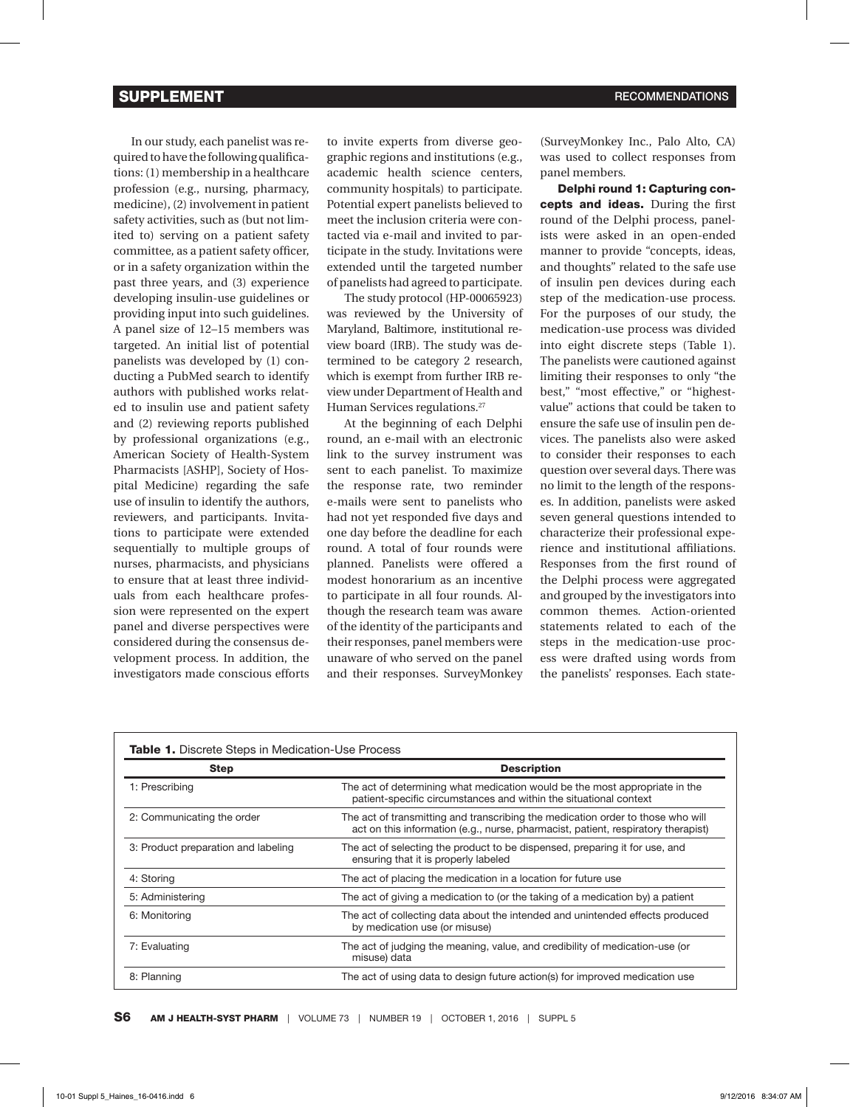In our study, each panelist was required to have the following qualifications: (1) membership in a healthcare profession (e.g., nursing, pharmacy, medicine), (2) involvement in patient safety activities, such as (but not limited to) serving on a patient safety committee, as a patient safety officer, or in a safety organization within the past three years, and (3) experience developing insulin-use guidelines or providing input into such guidelines. A panel size of 12–15 members was targeted. An initial list of potential panelists was developed by (1) conducting a PubMed search to identify authors with published works related to insulin use and patient safety and (2) reviewing reports published by professional organizations (e.g., American Society of Health-System Pharmacists [ASHP], Society of Hospital Medicine) regarding the safe use of insulin to identify the authors, reviewers, and participants. Invitations to participate were extended sequentially to multiple groups of nurses, pharmacists, and physicians to ensure that at least three individuals from each healthcare profession were represented on the expert panel and diverse perspectives were considered during the consensus development process. In addition, the investigators made conscious efforts

to invite experts from diverse geographic regions and institutions (e.g., academic health science centers, community hospitals) to participate. Potential expert panelists believed to meet the inclusion criteria were contacted via e-mail and invited to participate in the study. Invitations were extended until the targeted number of panelists had agreed to participate.

The study protocol (HP-00065923) was reviewed by the University of Maryland, Baltimore, institutional review board (IRB). The study was determined to be category 2 research, which is exempt from further IRB review under Department of Health and Human Services regulations.<sup>27</sup>

At the beginning of each Delphi round, an e-mail with an electronic link to the survey instrument was sent to each panelist. To maximize the response rate, two reminder e-mails were sent to panelists who had not yet responded five days and one day before the deadline for each round. A total of four rounds were planned. Panelists were offered a modest honorarium as an incentive to participate in all four rounds. Although the research team was aware of the identity of the participants and their responses, panel members were unaware of who served on the panel and their responses. SurveyMonkey (SurveyMonkey Inc., Palo Alto, CA) was used to collect responses from panel members.

Delphi round 1: Capturing concepts and ideas. During the first round of the Delphi process, panelists were asked in an open-ended manner to provide "concepts, ideas, and thoughts" related to the safe use of insulin pen devices during each step of the medication-use process. For the purposes of our study, the medication-use process was divided into eight discrete steps (Table 1). The panelists were cautioned against limiting their responses to only "the best," "most effective," or "highestvalue" actions that could be taken to ensure the safe use of insulin pen devices. The panelists also were asked to consider their responses to each question over several days. There was no limit to the length of the responses. In addition, panelists were asked seven general questions intended to characterize their professional experience and institutional affiliations. Responses from the first round of the Delphi process were aggregated and grouped by the investigators into common themes. Action-oriented statements related to each of the steps in the medication-use process were drafted using words from the panelists' responses. Each state-

| <b>Step</b>                         | <b>Description</b>                                                                                                                                                   |
|-------------------------------------|----------------------------------------------------------------------------------------------------------------------------------------------------------------------|
| 1: Prescribing                      | The act of determining what medication would be the most appropriate in the<br>patient-specific circumstances and within the situational context                     |
| 2: Communicating the order          | The act of transmitting and transcribing the medication order to those who will<br>act on this information (e.g., nurse, pharmacist, patient, respiratory therapist) |
| 3: Product preparation and labeling | The act of selecting the product to be dispensed, preparing it for use, and<br>ensuring that it is properly labeled                                                  |
| 4: Storing                          | The act of placing the medication in a location for future use                                                                                                       |
| 5: Administering                    | The act of giving a medication to (or the taking of a medication by) a patient                                                                                       |
| 6: Monitoring                       | The act of collecting data about the intended and unintended effects produced<br>by medication use (or misuse)                                                       |
| 7: Evaluating                       | The act of judging the meaning, value, and credibility of medication-use (or<br>misuse) data                                                                         |
| 8: Planning                         | The act of using data to design future action(s) for improved medication use                                                                                         |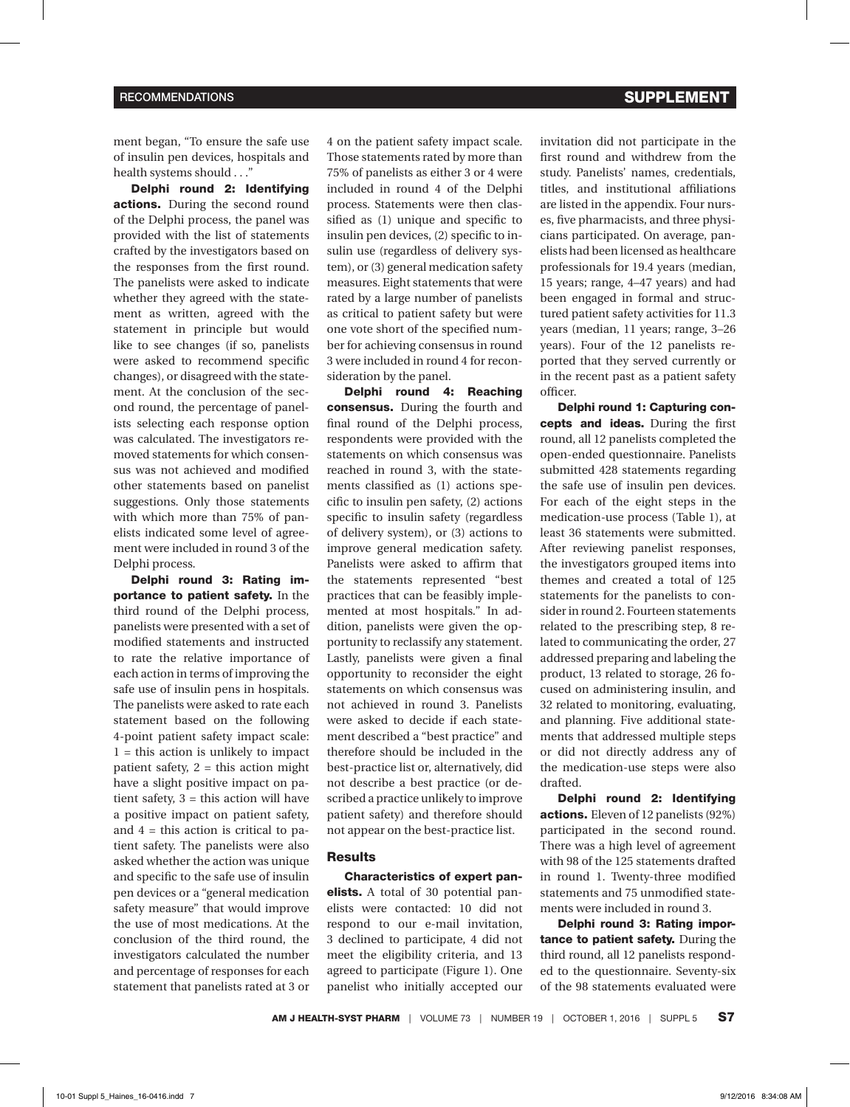ment began, "To ensure the safe use of insulin pen devices, hospitals and health systems should . . ."

Delphi round 2: Identifying actions. During the second round of the Delphi process, the panel was provided with the list of statements crafted by the investigators based on the responses from the first round. The panelists were asked to indicate whether they agreed with the statement as written, agreed with the statement in principle but would like to see changes (if so, panelists were asked to recommend specific changes), or disagreed with the statement. At the conclusion of the second round, the percentage of panelists selecting each response option was calculated. The investigators removed statements for which consensus was not achieved and modified other statements based on panelist suggestions. Only those statements with which more than 75% of panelists indicated some level of agreement were included in round 3 of the Delphi process.

Delphi round 3: Rating importance to patient safety. In the third round of the Delphi process, panelists were presented with a set of modified statements and instructed to rate the relative importance of each action in terms of improving the safe use of insulin pens in hospitals. The panelists were asked to rate each statement based on the following 4-point patient safety impact scale:  $1 =$  this action is unlikely to impact patient safety,  $2 =$  this action might have a slight positive impact on patient safety, 3 = this action will have a positive impact on patient safety, and  $4 =$  this action is critical to patient safety. The panelists were also asked whether the action was unique and specific to the safe use of insulin pen devices or a "general medication safety measure" that would improve the use of most medications. At the conclusion of the third round, the investigators calculated the number and percentage of responses for each statement that panelists rated at 3 or

4 on the patient safety impact scale. Those statements rated by more than 75% of panelists as either 3 or 4 were included in round 4 of the Delphi process. Statements were then classified as (1) unique and specific to insulin pen devices, (2) specific to insulin use (regardless of delivery system), or (3) general medication safety measures. Eight statements that were rated by a large number of panelists as critical to patient safety but were one vote short of the specified number for achieving consensus in round 3 were included in round 4 for reconsideration by the panel.

Delphi round 4: Reaching consensus. During the fourth and final round of the Delphi process, respondents were provided with the statements on which consensus was reached in round 3, with the statements classified as (1) actions specific to insulin pen safety, (2) actions specific to insulin safety (regardless of delivery system), or (3) actions to improve general medication safety. Panelists were asked to affirm that the statements represented "best practices that can be feasibly implemented at most hospitals." In addition, panelists were given the opportunity to reclassify any statement. Lastly, panelists were given a final opportunity to reconsider the eight statements on which consensus was not achieved in round 3. Panelists were asked to decide if each statement described a "best practice" and therefore should be included in the best-practice list or, alternatively, did not describe a best practice (or described a practice unlikely to improve patient safety) and therefore should not appear on the best-practice list.

#### **Results**

Characteristics of expert panelists. A total of 30 potential panelists were contacted: 10 did not respond to our e-mail invitation, 3 declined to participate, 4 did not meet the eligibility criteria, and 13 agreed to participate (Figure 1). One panelist who initially accepted our

invitation did not participate in the first round and withdrew from the study. Panelists' names, credentials, titles, and institutional affiliations are listed in the appendix. Four nurses, five pharmacists, and three physicians participated. On average, panelists had been licensed as healthcare professionals for 19.4 years (median, 15 years; range, 4–47 years) and had been engaged in formal and structured patient safety activities for 11.3 years (median, 11 years; range, 3–26 years). Four of the 12 panelists reported that they served currently or in the recent past as a patient safety officer.

Delphi round 1: Capturing concepts and ideas. During the first round, all 12 panelists completed the open-ended questionnaire. Panelists submitted 428 statements regarding the safe use of insulin pen devices. For each of the eight steps in the medication-use process (Table 1), at least 36 statements were submitted. After reviewing panelist responses, the investigators grouped items into themes and created a total of 125 statements for the panelists to consider in round 2. Fourteen statements related to the prescribing step, 8 related to communicating the order, 27 addressed preparing and labeling the product, 13 related to storage, 26 focused on administering insulin, and 32 related to monitoring, evaluating, and planning. Five additional statements that addressed multiple steps or did not directly address any of the medication-use steps were also drafted.

Delphi round 2: Identifying actions. Eleven of 12 panelists (92%) participated in the second round. There was a high level of agreement with 98 of the 125 statements drafted in round 1. Twenty-three modified statements and 75 unmodified statements were included in round 3.

Delphi round 3: Rating importance to patient safety. During the third round, all 12 panelists responded to the questionnaire. Seventy-six of the 98 statements evaluated were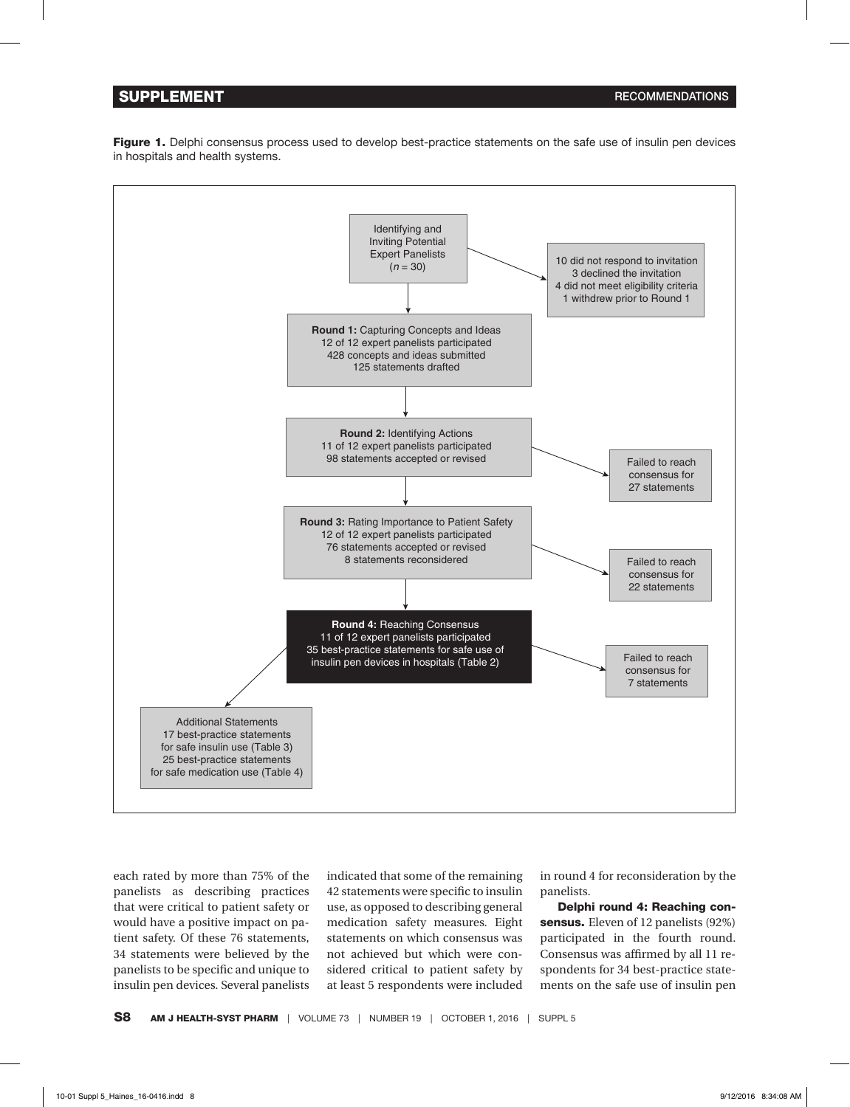# SUPPLEMENT **RECOMMENDATIONS**

Figure 1. Delphi consensus process used to develop best-practice statements on the safe use of insulin pen devices in hospitals and health systems.



each rated by more than 75% of the panelists as describing practices that were critical to patient safety or would have a positive impact on patient safety. Of these 76 statements, 34 statements were believed by the panelists to be specific and unique to insulin pen devices. Several panelists

indicated that some of the remaining 42 statements were specific to insulin use, as opposed to describing general medication safety measures. Eight statements on which consensus was not achieved but which were considered critical to patient safety by at least 5 respondents were included in round 4 for reconsideration by the panelists.

Delphi round 4: Reaching consensus. Eleven of 12 panelists (92%) participated in the fourth round. Consensus was affirmed by all 11 respondents for 34 best-practice statements on the safe use of insulin pen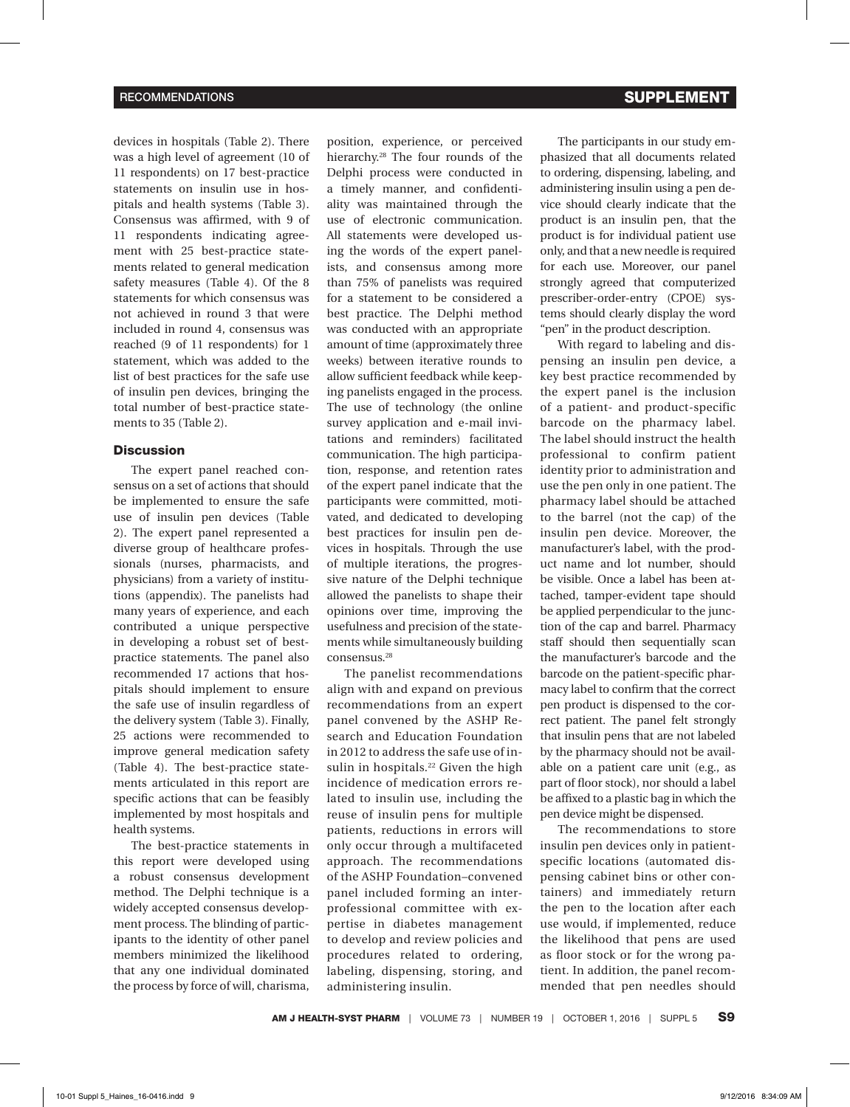devices in hospitals (Table 2). There was a high level of agreement (10 of 11 respondents) on 17 best-practice statements on insulin use in hospitals and health systems (Table 3). Consensus was affirmed, with 9 of 11 respondents indicating agreement with 25 best-practice statements related to general medication safety measures (Table 4). Of the 8 statements for which consensus was not achieved in round 3 that were included in round 4, consensus was reached (9 of 11 respondents) for 1 statement, which was added to the list of best practices for the safe use of insulin pen devices, bringing the total number of best-practice statements to 35 (Table 2).

#### **Discussion**

The expert panel reached consensus on a set of actions that should be implemented to ensure the safe use of insulin pen devices (Table 2). The expert panel represented a diverse group of healthcare professionals (nurses, pharmacists, and physicians) from a variety of institutions (appendix). The panelists had many years of experience, and each contributed a unique perspective in developing a robust set of bestpractice statements. The panel also recommended 17 actions that hospitals should implement to ensure the safe use of insulin regardless of the delivery system (Table 3). Finally, 25 actions were recommended to improve general medication safety (Table 4). The best-practice statements articulated in this report are specific actions that can be feasibly implemented by most hospitals and health systems.

The best-practice statements in this report were developed using a robust consensus development method. The Delphi technique is a widely accepted consensus development process. The blinding of participants to the identity of other panel members minimized the likelihood that any one individual dominated the process by force of will, charisma,

position, experience, or perceived hierarchy.28 The four rounds of the Delphi process were conducted in a timely manner, and confidentiality was maintained through the use of electronic communication. All statements were developed using the words of the expert panelists, and consensus among more than 75% of panelists was required for a statement to be considered a best practice. The Delphi method was conducted with an appropriate amount of time (approximately three weeks) between iterative rounds to allow sufficient feedback while keeping panelists engaged in the process. The use of technology (the online survey application and e-mail invitations and reminders) facilitated communication. The high participation, response, and retention rates of the expert panel indicate that the participants were committed, motivated, and dedicated to developing best practices for insulin pen devices in hospitals. Through the use of multiple iterations, the progressive nature of the Delphi technique allowed the panelists to shape their opinions over time, improving the usefulness and precision of the statements while simultaneously building consensus.28

The panelist recommendations align with and expand on previous recommendations from an expert panel convened by the ASHP Research and Education Foundation in 2012 to address the safe use of insulin in hospitals.<sup>22</sup> Given the high incidence of medication errors related to insulin use, including the reuse of insulin pens for multiple patients, reductions in errors will only occur through a multifaceted approach. The recommendations of the ASHP Foundation–convened panel included forming an interprofessional committee with expertise in diabetes management to develop and review policies and procedures related to ordering, labeling, dispensing, storing, and administering insulin.

The participants in our study emphasized that all documents related to ordering, dispensing, labeling, and administering insulin using a pen device should clearly indicate that the product is an insulin pen, that the product is for individual patient use only, and that a new needle is required for each use. Moreover, our panel strongly agreed that computerized prescriber-order-entry (CPOE) systems should clearly display the word "pen" in the product description.

With regard to labeling and dispensing an insulin pen device, a key best practice recommended by the expert panel is the inclusion of a patient- and product-specific barcode on the pharmacy label. The label should instruct the health professional to confirm patient identity prior to administration and use the pen only in one patient. The pharmacy label should be attached to the barrel (not the cap) of the insulin pen device. Moreover, the manufacturer's label, with the product name and lot number, should be visible. Once a label has been attached, tamper-evident tape should be applied perpendicular to the junction of the cap and barrel. Pharmacy staff should then sequentially scan the manufacturer's barcode and the barcode on the patient-specific pharmacy label to confirm that the correct pen product is dispensed to the correct patient. The panel felt strongly that insulin pens that are not labeled by the pharmacy should not be available on a patient care unit (e.g., as part of floor stock), nor should a label be affixed to a plastic bag in which the pen device might be dispensed.

The recommendations to store insulin pen devices only in patientspecific locations (automated dispensing cabinet bins or other containers) and immediately return the pen to the location after each use would, if implemented, reduce the likelihood that pens are used as floor stock or for the wrong patient. In addition, the panel recommended that pen needles should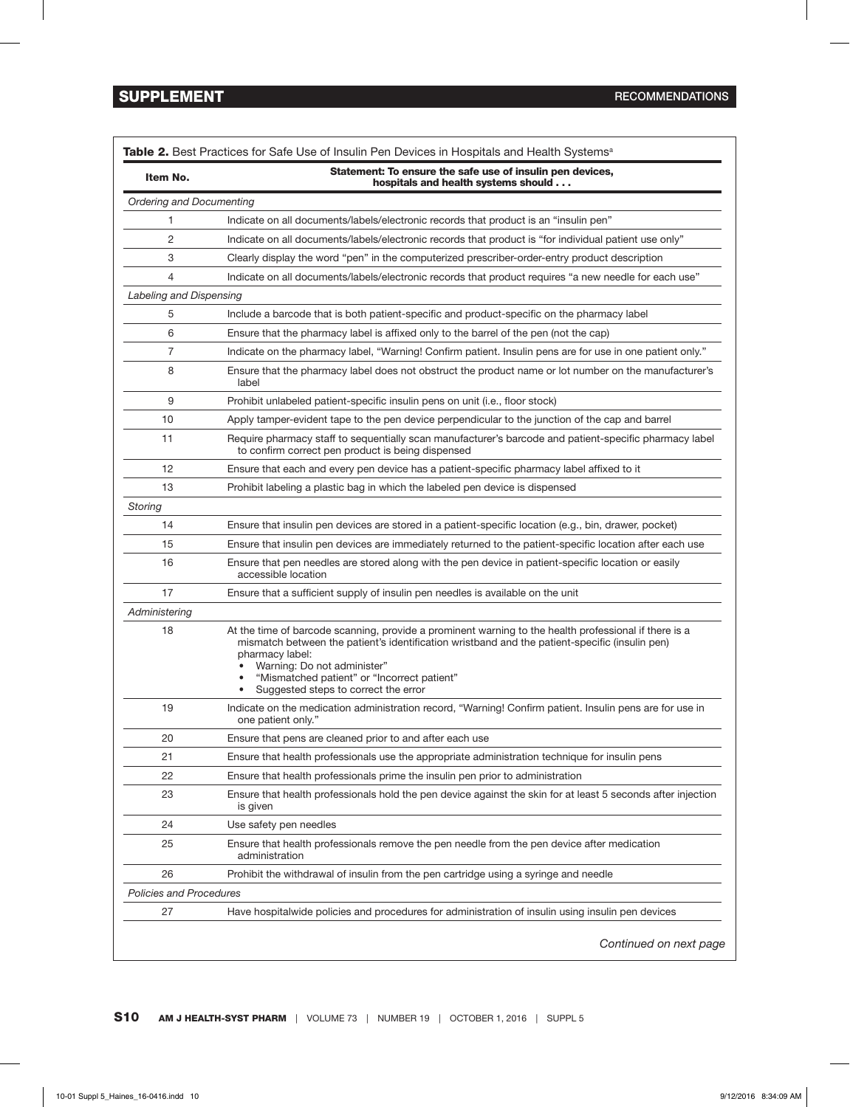| Item No.                       | Statement: To ensure the safe use of insulin pen devices,<br>hospitals and health systems should                                                                                                                                                                                                                                                 |
|--------------------------------|--------------------------------------------------------------------------------------------------------------------------------------------------------------------------------------------------------------------------------------------------------------------------------------------------------------------------------------------------|
| Ordering and Documenting       |                                                                                                                                                                                                                                                                                                                                                  |
| 1                              | Indicate on all documents/labels/electronic records that product is an "insulin pen"                                                                                                                                                                                                                                                             |
| $\overline{c}$                 | Indicate on all documents/labels/electronic records that product is "for individual patient use only"                                                                                                                                                                                                                                            |
| 3                              | Clearly display the word "pen" in the computerized prescriber-order-entry product description                                                                                                                                                                                                                                                    |
| 4                              | Indicate on all documents/labels/electronic records that product requires "a new needle for each use"                                                                                                                                                                                                                                            |
| Labeling and Dispensing        |                                                                                                                                                                                                                                                                                                                                                  |
| 5                              | Include a barcode that is both patient-specific and product-specific on the pharmacy label                                                                                                                                                                                                                                                       |
| 6                              | Ensure that the pharmacy label is affixed only to the barrel of the pen (not the cap)                                                                                                                                                                                                                                                            |
| 7                              | Indicate on the pharmacy label, "Warning! Confirm patient. Insulin pens are for use in one patient only."                                                                                                                                                                                                                                        |
| 8                              | Ensure that the pharmacy label does not obstruct the product name or lot number on the manufacturer's<br>label                                                                                                                                                                                                                                   |
| 9                              | Prohibit unlabeled patient-specific insulin pens on unit (i.e., floor stock)                                                                                                                                                                                                                                                                     |
| 10                             | Apply tamper-evident tape to the pen device perpendicular to the junction of the cap and barrel                                                                                                                                                                                                                                                  |
| 11                             | Require pharmacy staff to sequentially scan manufacturer's barcode and patient-specific pharmacy label<br>to confirm correct pen product is being dispensed                                                                                                                                                                                      |
| 12                             | Ensure that each and every pen device has a patient-specific pharmacy label affixed to it                                                                                                                                                                                                                                                        |
| 13                             | Prohibit labeling a plastic bag in which the labeled pen device is dispensed                                                                                                                                                                                                                                                                     |
| Storing                        |                                                                                                                                                                                                                                                                                                                                                  |
| 14                             | Ensure that insulin pen devices are stored in a patient-specific location (e.g., bin, drawer, pocket)                                                                                                                                                                                                                                            |
| 15                             | Ensure that insulin pen devices are immediately returned to the patient-specific location after each use                                                                                                                                                                                                                                         |
| 16                             | Ensure that pen needles are stored along with the pen device in patient-specific location or easily<br>accessible location                                                                                                                                                                                                                       |
| 17                             | Ensure that a sufficient supply of insulin pen needles is available on the unit                                                                                                                                                                                                                                                                  |
| Administering                  |                                                                                                                                                                                                                                                                                                                                                  |
| 18                             | At the time of barcode scanning, provide a prominent warning to the health professional if there is a<br>mismatch between the patient's identification wristband and the patient-specific (insulin pen)<br>pharmacy label:<br>Warning: Do not administer"<br>"Mismatched patient" or "Incorrect patient"<br>Suggested steps to correct the error |
| 19                             | Indicate on the medication administration record, "Warning! Confirm patient. Insulin pens are for use in<br>one patient only."                                                                                                                                                                                                                   |
| 20                             | Ensure that pens are cleaned prior to and after each use                                                                                                                                                                                                                                                                                         |
| 21                             | Ensure that health professionals use the appropriate administration technique for insulin pens                                                                                                                                                                                                                                                   |
| 22                             | Ensure that health professionals prime the insulin pen prior to administration                                                                                                                                                                                                                                                                   |
| 23                             | Ensure that health professionals hold the pen device against the skin for at least 5 seconds after injection<br>is given                                                                                                                                                                                                                         |
| 24                             | Use safety pen needles                                                                                                                                                                                                                                                                                                                           |
| 25                             | Ensure that health professionals remove the pen needle from the pen device after medication<br>administration                                                                                                                                                                                                                                    |
| 26                             | Prohibit the withdrawal of insulin from the pen cartridge using a syringe and needle                                                                                                                                                                                                                                                             |
| <b>Policies and Procedures</b> |                                                                                                                                                                                                                                                                                                                                                  |
| 27                             | Have hospitalwide policies and procedures for administration of insulin using insulin pen devices                                                                                                                                                                                                                                                |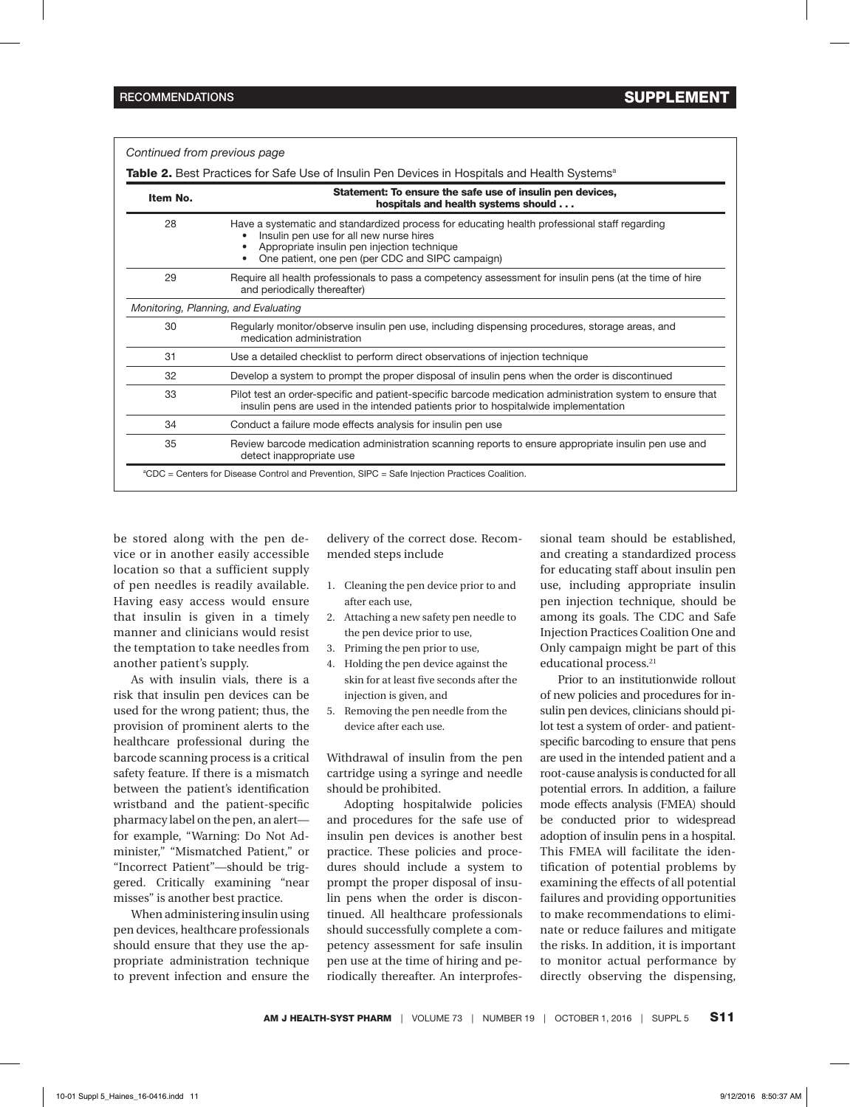*Continued from previous page*

| Item No. | Statement: To ensure the safe use of insulin pen devices,<br>hospitals and health systems should                                                                                                                                           |
|----------|--------------------------------------------------------------------------------------------------------------------------------------------------------------------------------------------------------------------------------------------|
| 28       | Have a systematic and standardized process for educating health professional staff regarding<br>Insulin pen use for all new nurse hires<br>Appropriate insulin pen injection technique<br>One patient, one pen (per CDC and SIPC campaign) |
| 29       | Require all health professionals to pass a competency assessment for insulin pens (at the time of hire<br>and periodically thereafter)                                                                                                     |
|          | Monitoring, Planning, and Evaluating                                                                                                                                                                                                       |
| 30       | Regularly monitor/observe insulin pen use, including dispensing procedures, storage areas, and<br>medication administration                                                                                                                |
| 31       | Use a detailed checklist to perform direct observations of injection technique                                                                                                                                                             |
| 32       | Develop a system to prompt the proper disposal of insulin pens when the order is discontinued                                                                                                                                              |
| 33       | Pilot test an order-specific and patient-specific barcode medication administration system to ensure that<br>insulin pens are used in the intended patients prior to hospital wide implementation                                          |
| 34       | Conduct a failure mode effects analysis for insulin pen use                                                                                                                                                                                |
| 35       | Review barcode medication administration scanning reports to ensure appropriate insulin pen use and<br>detect inappropriate use                                                                                                            |

be stored along with the pen device or in another easily accessible location so that a sufficient supply of pen needles is readily available. Having easy access would ensure that insulin is given in a timely manner and clinicians would resist the temptation to take needles from another patient's supply.

As with insulin vials, there is a risk that insulin pen devices can be used for the wrong patient; thus, the provision of prominent alerts to the healthcare professional during the barcode scanning process is a critical safety feature. If there is a mismatch between the patient's identification wristband and the patient-specific pharmacy label on the pen, an alert for example, "Warning: Do Not Administer," "Mismatched Patient," or "Incorrect Patient"—should be triggered. Critically examining "near misses" is another best practice.

When administering insulin using pen devices, healthcare professionals should ensure that they use the appropriate administration technique to prevent infection and ensure the

delivery of the correct dose. Recommended steps include

- 1. Cleaning the pen device prior to and after each use,
- 2. Attaching a new safety pen needle to the pen device prior to use,
- 3. Priming the pen prior to use,
- 4. Holding the pen device against the skin for at least five seconds after the injection is given, and
- 5. Removing the pen needle from the device after each use.

Withdrawal of insulin from the pen cartridge using a syringe and needle should be prohibited.

Adopting hospitalwide policies and procedures for the safe use of insulin pen devices is another best practice. These policies and procedures should include a system to prompt the proper disposal of insulin pens when the order is discontinued. All healthcare professionals should successfully complete a competency assessment for safe insulin pen use at the time of hiring and periodically thereafter. An interprofessional team should be established, and creating a standardized process for educating staff about insulin pen use, including appropriate insulin pen injection technique, should be among its goals. The CDC and Safe Injection Practices Coalition One and Only campaign might be part of this educational process.<sup>21</sup>

Prior to an institutionwide rollout of new policies and procedures for insulin pen devices, clinicians should pilot test a system of order- and patientspecific barcoding to ensure that pens are used in the intended patient and a root-cause analysis is conducted for all potential errors. In addition, a failure mode effects analysis (FMEA) should be conducted prior to widespread adoption of insulin pens in a hospital. This FMEA will facilitate the identification of potential problems by examining the effects of all potential failures and providing opportunities to make recommendations to eliminate or reduce failures and mitigate the risks. In addition, it is important to monitor actual performance by directly observing the dispensing,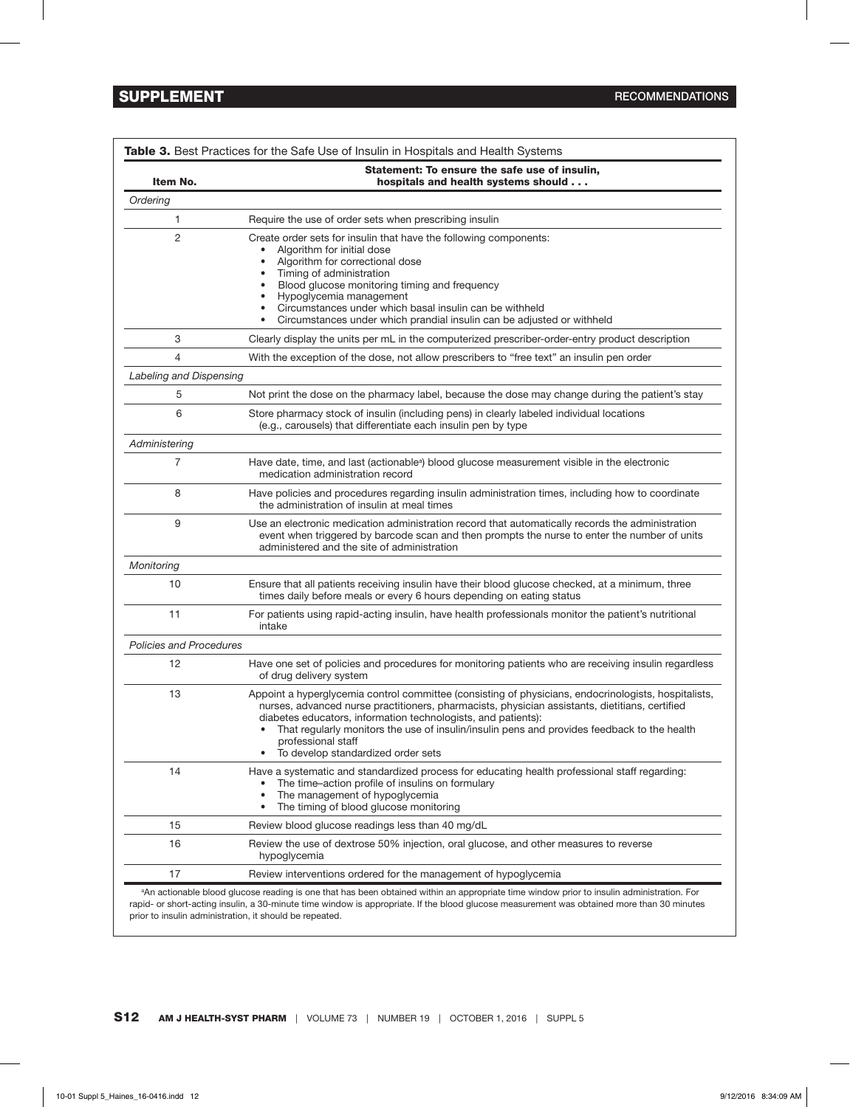| Item No.                | Statement: To ensure the safe use of insulin,<br>hospitals and health systems should                                                                                                                                                                                                                                                                                                                                               |
|-------------------------|------------------------------------------------------------------------------------------------------------------------------------------------------------------------------------------------------------------------------------------------------------------------------------------------------------------------------------------------------------------------------------------------------------------------------------|
| Ordering                |                                                                                                                                                                                                                                                                                                                                                                                                                                    |
| 1                       | Require the use of order sets when prescribing insulin                                                                                                                                                                                                                                                                                                                                                                             |
| 2                       | Create order sets for insulin that have the following components:<br>Algorithm for initial dose<br>Algorithm for correctional dose<br>$\bullet$<br>Timing of administration<br>$\bullet$<br>Blood glucose monitoring timing and frequency<br>$\bullet$<br>Hypoglycemia management<br>Circumstances under which basal insulin can be withheld<br>Circumstances under which prandial insulin can be adjusted or withheld             |
| 3                       | Clearly display the units per mL in the computerized prescriber-order-entry product description                                                                                                                                                                                                                                                                                                                                    |
| 4                       | With the exception of the dose, not allow prescribers to "free text" an insulin pen order                                                                                                                                                                                                                                                                                                                                          |
| Labeling and Dispensing |                                                                                                                                                                                                                                                                                                                                                                                                                                    |
| 5                       | Not print the dose on the pharmacy label, because the dose may change during the patient's stay                                                                                                                                                                                                                                                                                                                                    |
| 6                       | Store pharmacy stock of insulin (including pens) in clearly labeled individual locations<br>(e.g., carousels) that differentiate each insulin pen by type                                                                                                                                                                                                                                                                          |
| Administering           |                                                                                                                                                                                                                                                                                                                                                                                                                                    |
| 7                       | Have date, time, and last (actionable <sup>a</sup> ) blood glucose measurement visible in the electronic<br>medication administration record                                                                                                                                                                                                                                                                                       |
| 8                       | Have policies and procedures regarding insulin administration times, including how to coordinate<br>the administration of insulin at meal times                                                                                                                                                                                                                                                                                    |
| 9                       | Use an electronic medication administration record that automatically records the administration<br>event when triggered by barcode scan and then prompts the nurse to enter the number of units<br>administered and the site of administration                                                                                                                                                                                    |
| Monitoring              |                                                                                                                                                                                                                                                                                                                                                                                                                                    |
| 10                      | Ensure that all patients receiving insulin have their blood glucose checked, at a minimum, three<br>times daily before meals or every 6 hours depending on eating status                                                                                                                                                                                                                                                           |
| 11                      | For patients using rapid-acting insulin, have health professionals monitor the patient's nutritional<br>intake                                                                                                                                                                                                                                                                                                                     |
| Policies and Procedures |                                                                                                                                                                                                                                                                                                                                                                                                                                    |
| 12                      | Have one set of policies and procedures for monitoring patients who are receiving insulin regardless<br>of drug delivery system                                                                                                                                                                                                                                                                                                    |
| 13                      | Appoint a hyperglycemia control committee (consisting of physicians, endocrinologists, hospitalists,<br>nurses, advanced nurse practitioners, pharmacists, physician assistants, dietitians, certified<br>diabetes educators, information technologists, and patients):<br>That regularly monitors the use of insulin/insulin pens and provides feedback to the health<br>professional staff<br>To develop standardized order sets |
| 14                      | Have a systematic and standardized process for educating health professional staff regarding:<br>The time-action profile of insulins on formulary<br>The management of hypoglycemia<br>The timing of blood glucose monitoring                                                                                                                                                                                                      |
| 15                      | Review blood glucose readings less than 40 mg/dL                                                                                                                                                                                                                                                                                                                                                                                   |
| 16                      | Review the use of dextrose 50% injection, oral glucose, and other measures to reverse<br>hypoglycemia                                                                                                                                                                                                                                                                                                                              |
| 17                      | Review interventions ordered for the management of hypoglycemia                                                                                                                                                                                                                                                                                                                                                                    |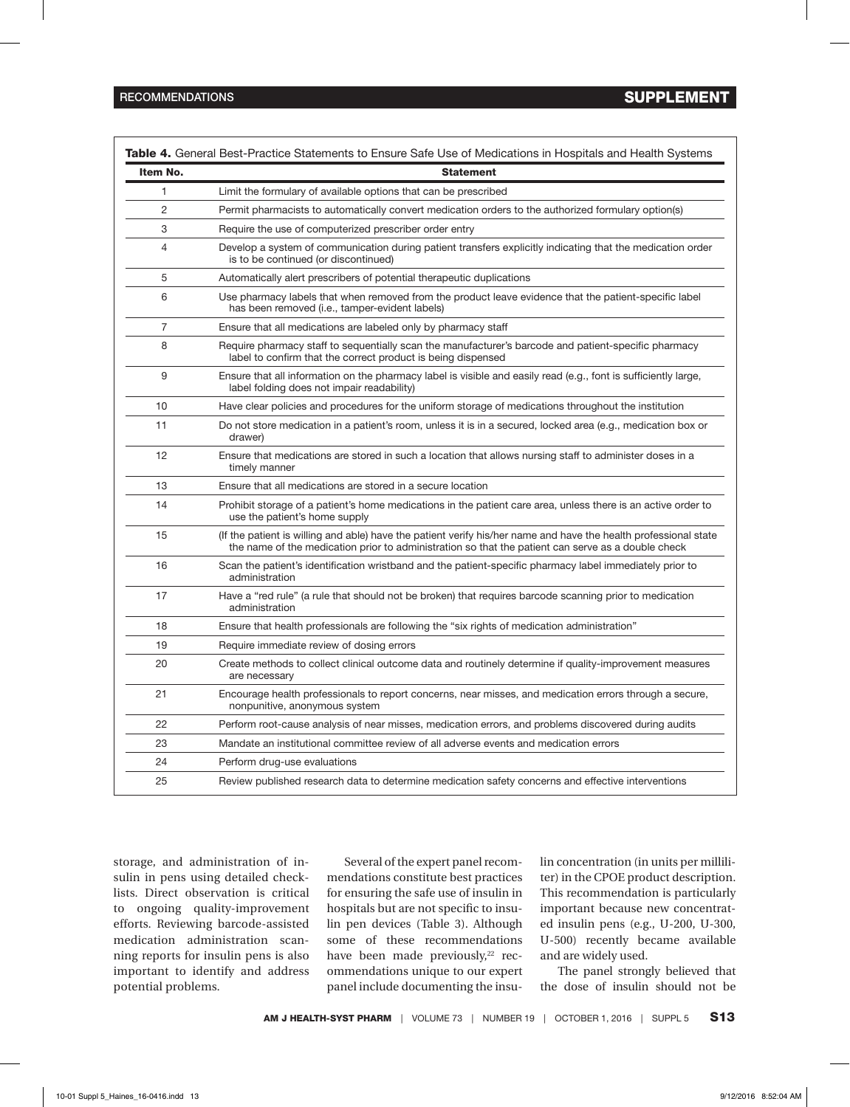| Item No.       | <b>Statement</b>                                                                                                                                                                                                       |
|----------------|------------------------------------------------------------------------------------------------------------------------------------------------------------------------------------------------------------------------|
| 1              | Limit the formulary of available options that can be prescribed                                                                                                                                                        |
| $\overline{2}$ | Permit pharmacists to automatically convert medication orders to the authorized formulary option(s)                                                                                                                    |
| 3              | Require the use of computerized prescriber order entry                                                                                                                                                                 |
| 4              | Develop a system of communication during patient transfers explicitly indicating that the medication order<br>is to be continued (or discontinued)                                                                     |
| 5              | Automatically alert prescribers of potential therapeutic duplications                                                                                                                                                  |
| 6              | Use pharmacy labels that when removed from the product leave evidence that the patient-specific label<br>has been removed (i.e., tamper-evident labels)                                                                |
| 7              | Ensure that all medications are labeled only by pharmacy staff                                                                                                                                                         |
| 8              | Require pharmacy staff to sequentially scan the manufacturer's barcode and patient-specific pharmacy<br>label to confirm that the correct product is being dispensed                                                   |
| 9              | Ensure that all information on the pharmacy label is visible and easily read (e.g., font is sufficiently large,<br>label folding does not impair readability)                                                          |
| 10             | Have clear policies and procedures for the uniform storage of medications throughout the institution                                                                                                                   |
| 11             | Do not store medication in a patient's room, unless it is in a secured, locked area (e.g., medication box or<br>drawer)                                                                                                |
| 12             | Ensure that medications are stored in such a location that allows nursing staff to administer doses in a<br>timely manner                                                                                              |
| 13             | Ensure that all medications are stored in a secure location                                                                                                                                                            |
| 14             | Prohibit storage of a patient's home medications in the patient care area, unless there is an active order to<br>use the patient's home supply                                                                         |
| 15             | (If the patient is willing and able) have the patient verify his/her name and have the health professional state<br>the name of the medication prior to administration so that the patient can serve as a double check |
| 16             | Scan the patient's identification wristband and the patient-specific pharmacy label immediately prior to<br>administration                                                                                             |
| 17             | Have a "red rule" (a rule that should not be broken) that requires barcode scanning prior to medication<br>administration                                                                                              |
| 18             | Ensure that health professionals are following the "six rights of medication administration"                                                                                                                           |
| 19             | Require immediate review of dosing errors                                                                                                                                                                              |
| 20             | Create methods to collect clinical outcome data and routinely determine if quality-improvement measures<br>are necessary                                                                                               |
| 21             | Encourage health professionals to report concerns, near misses, and medication errors through a secure,<br>nonpunitive, anonymous system                                                                               |
| 22             | Perform root-cause analysis of near misses, medication errors, and problems discovered during audits                                                                                                                   |
| 23             | Mandate an institutional committee review of all adverse events and medication errors                                                                                                                                  |
| 24             | Perform drug-use evaluations                                                                                                                                                                                           |
| 25             | Review published research data to determine medication safety concerns and effective interventions                                                                                                                     |

storage, and administration of insulin in pens using detailed checklists. Direct observation is critical to ongoing quality-improvement efforts. Reviewing barcode-assisted medication administration scanning reports for insulin pens is also important to identify and address potential problems.

Several of the expert panel recommendations constitute best practices for ensuring the safe use of insulin in hospitals but are not specific to insulin pen devices (Table 3). Although some of these recommendations have been made previously, $22$  recommendations unique to our expert panel include documenting the insulin concentration (in units per milliliter) in the CPOE product description. This recommendation is particularly important because new concentrated insulin pens (e.g., U-200, U-300, U-500) recently became available and are widely used.

The panel strongly believed that the dose of insulin should not be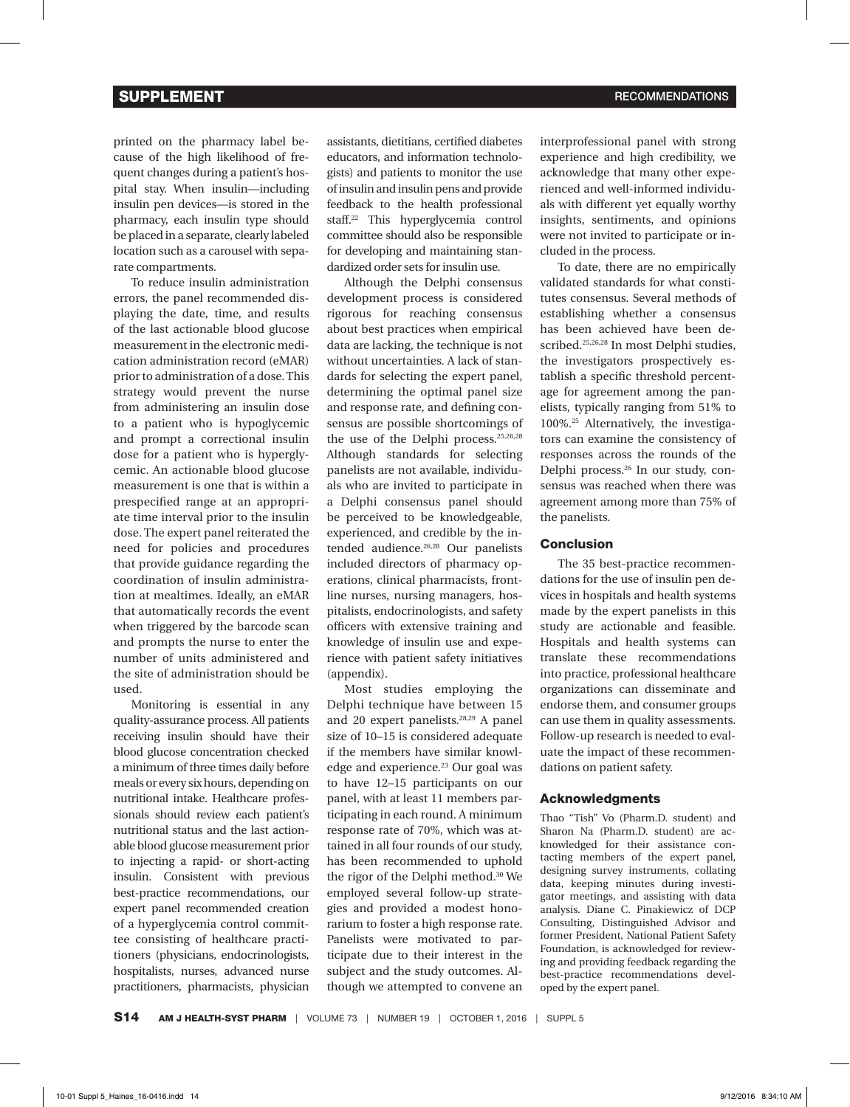printed on the pharmacy label because of the high likelihood of frequent changes during a patient's hospital stay. When insulin—including insulin pen devices—is stored in the pharmacy, each insulin type should be placed in a separate, clearly labeled location such as a carousel with separate compartments.

To reduce insulin administration errors, the panel recommended displaying the date, time, and results of the last actionable blood glucose measurement in the electronic medication administration record (eMAR) prior to administration of a dose. This strategy would prevent the nurse from administering an insulin dose to a patient who is hypoglycemic and prompt a correctional insulin dose for a patient who is hyperglycemic. An actionable blood glucose measurement is one that is within a prespecified range at an appropriate time interval prior to the insulin dose. The expert panel reiterated the need for policies and procedures that provide guidance regarding the coordination of insulin administration at mealtimes. Ideally, an eMAR that automatically records the event when triggered by the barcode scan and prompts the nurse to enter the number of units administered and the site of administration should be used.

Monitoring is essential in any quality-assurance process. All patients receiving insulin should have their blood glucose concentration checked a minimum of three times daily before meals or every six hours, depending on nutritional intake. Healthcare professionals should review each patient's nutritional status and the last actionable blood glucose measurement prior to injecting a rapid- or short-acting insulin. Consistent with previous best-practice recommendations, our expert panel recommended creation of a hyperglycemia control committee consisting of healthcare practitioners (physicians, endocrinologists, hospitalists, nurses, advanced nurse practitioners, pharmacists, physician

assistants, dietitians, certified diabetes educators, and information technologists) and patients to monitor the use of insulin and insulin pens and provide feedback to the health professional staff.22 This hyperglycemia control committee should also be responsible for developing and maintaining standardized order sets for insulin use.

Although the Delphi consensus development process is considered rigorous for reaching consensus about best practices when empirical data are lacking, the technique is not without uncertainties. A lack of standards for selecting the expert panel, determining the optimal panel size and response rate, and defining consensus are possible shortcomings of the use of the Delphi process.<sup>25,26,28</sup> Although standards for selecting panelists are not available, individuals who are invited to participate in a Delphi consensus panel should be perceived to be knowledgeable, experienced, and credible by the intended audience.26,28 Our panelists included directors of pharmacy operations, clinical pharmacists, frontline nurses, nursing managers, hospitalists, endocrinologists, and safety officers with extensive training and knowledge of insulin use and experience with patient safety initiatives (appendix).

Most studies employing the Delphi technique have between 15 and 20 expert panelists.28,29 A panel size of 10–15 is considered adequate if the members have similar knowledge and experience.<sup>23</sup> Our goal was to have 12–15 participants on our panel, with at least 11 members participating in each round. A minimum response rate of 70%, which was attained in all four rounds of our study, has been recommended to uphold the rigor of the Delphi method.30 We employed several follow-up strategies and provided a modest honorarium to foster a high response rate. Panelists were motivated to participate due to their interest in the subject and the study outcomes. Although we attempted to convene an interprofessional panel with strong experience and high credibility, we acknowledge that many other experienced and well-informed individuals with different yet equally worthy insights, sentiments, and opinions were not invited to participate or included in the process.

To date, there are no empirically validated standards for what constitutes consensus. Several methods of establishing whether a consensus has been achieved have been described.<sup>25,26,28</sup> In most Delphi studies, the investigators prospectively establish a specific threshold percentage for agreement among the panelists, typically ranging from 51% to 100%.25 Alternatively, the investigators can examine the consistency of responses across the rounds of the Delphi process.26 In our study, consensus was reached when there was agreement among more than 75% of the panelists.

#### Conclusion

The 35 best-practice recommendations for the use of insulin pen devices in hospitals and health systems made by the expert panelists in this study are actionable and feasible. Hospitals and health systems can translate these recommendations into practice, professional healthcare organizations can disseminate and endorse them, and consumer groups can use them in quality assessments. Follow-up research is needed to evaluate the impact of these recommendations on patient safety.

#### Acknowledgments

Thao "Tish" Vo (Pharm.D. student) and Sharon Na (Pharm.D. student) are acknowledged for their assistance contacting members of the expert panel, designing survey instruments, collating data, keeping minutes during investigator meetings, and assisting with data analysis. Diane C. Pinakiewicz of DCP Consulting, Distinguished Advisor and former President, National Patient Safety Foundation, is acknowledged for reviewing and providing feedback regarding the best-practice recommendations developed by the expert panel.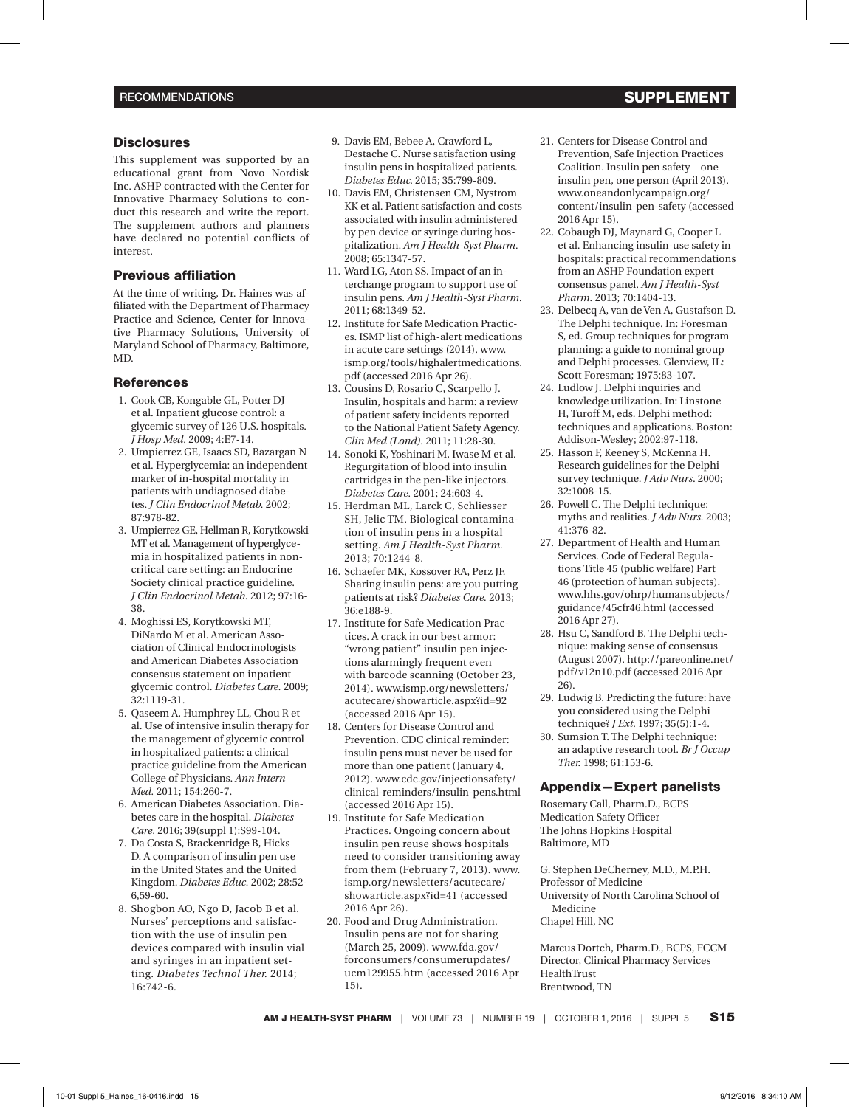### **Disclosures**

This supplement was supported by an educational grant from Novo Nordisk Inc. ASHP contracted with the Center for Innovative Pharmacy Solutions to conduct this research and write the report. The supplement authors and planners have declared no potential conflicts of interest.

#### Previous affiliation

At the time of writing, Dr. Haines was affiliated with the Department of Pharmacy Practice and Science, Center for Innovative Pharmacy Solutions, University of Maryland School of Pharmacy, Baltimore, MD.

#### **References**

- 1. Cook CB, Kongable GL, Potter DJ et al. Inpatient glucose control: a glycemic survey of 126 U.S. hospitals. *J Hosp Med.* 2009; 4:E7-14.
- 2. Umpierrez GE, Isaacs SD, Bazargan N et al. Hyperglycemia: an independent marker of in-hospital mortality in patients with undiagnosed diabetes. *J Clin Endocrinol Metab.* 2002; 87:978-82.
- 3. Umpierrez GE, Hellman R, Korytkowski MT et al. Management of hyperglycemia in hospitalized patients in noncritical care setting: an Endocrine Society clinical practice guideline. *J Clin Endocrinol Metab*. 2012; 97:16- 38.
- 4. Moghissi ES, Korytkowski MT, DiNardo M et al. American Association of Clinical Endocrinologists and American Diabetes Association consensus statement on inpatient glycemic control. *Diabetes Care.* 2009; 32:1119-31.
- 5. Qaseem A, Humphrey LL, Chou R et al. Use of intensive insulin therapy for the management of glycemic control in hospitalized patients: a clinical practice guideline from the American College of Physicians. *Ann Intern Med.* 2011; 154:260-7.
- 6. American Diabetes Association. Diabetes care in the hospital. *Diabetes Care*. 2016; 39(suppl 1):S99-104.
- 7. Da Costa S, Brackenridge B, Hicks D. A comparison of insulin pen use in the United States and the United Kingdom. *Diabetes Educ.* 2002; 28:52- 6,59-60.
- 8. Shogbon AO, Ngo D, Jacob B et al. Nurses' perceptions and satisfaction with the use of insulin pen devices compared with insulin vial and syringes in an inpatient setting. *Diabetes Technol Ther.* 2014; 16:742-6.
- 9. Davis EM, Bebee A, Crawford L, Destache C. Nurse satisfaction using insulin pens in hospitalized patients. *Diabetes Educ.* 2015; 35:799-809.
- 10. Davis EM, Christensen CM, Nystrom KK et al. Patient satisfaction and costs associated with insulin administered by pen device or syringe during hospitalization. *Am J Health-Syst Pharm.* 2008; 65:1347-57.
- 11. Ward LG, Aton SS. Impact of an interchange program to support use of insulin pens. *Am J Health-Syst Pharm.* 2011; 68:1349-52.
- 12. Institute for Safe Medication Practices. ISMP list of high-alert medications in acute care settings (2014). www. [ismp.org/tools/highalertmedicatio](http://www.ismp.org/tools/highalertmedications.pdf)ns. pdf (accessed 2016 Apr 26).
- 13. Cousins D, Rosario C, Scarpello J. Insulin, hospitals and harm: a review of patient safety incidents reported to the National Patient Safety Agency. *Clin Med (Lond).* 2011; 11:28-30.
- 14. Sonoki K, Yoshinari M, Iwase M et al. Regurgitation of blood into insulin cartridges in the pen-like injectors. *Diabetes Care.* 2001; 24:603-4.
- 15. Herdman ML, Larck C, Schliesser SH, Jelic TM. Biological contamination of insulin pens in a hospital setting. *Am J Health-Syst Pharm.*  2013; 70:1244-8.
- 16. Schaefer MK, Kossover RA, Perz JF. Sharing insulin pens: are you putting patients at risk? *Diabetes Care.* 2013; 36:e188-9.
- 17. Institute for Safe Medication Practices. A crack in our best armor: "wrong patient" insulin pen injections alarmingly frequent even with barcode scanning (October 23, [2014\). www.ismp.org/newsletters/](http://www.ismp.org/newsletters/acutecare/showarticle.aspx?id=92) acutecare/showarticle.aspx?id=92 (accessed 2016 Apr 15).
- 18. Centers for Disease Control and Prevention. CDC clinical reminder: insulin pens must never be used for more than one patient (January 4, 2012). www.cdc.gov/injectionsafety/ [clinical-reminders/insulin-pens.html](http://www.cdc.gov/injectionsafety/clinical-reminders/insulin-pens.html)  (accessed 2016 Apr 15).
- 19. Institute for Safe Medication Practices. Ongoing concern about insulin pen reuse shows hospitals need to consider transitioning away [from them \(February 7, 2013\). www](http://www.ismp.org/newsletters/acutecare/showarticle.aspx?id=41). ismp.org/newsletters/acutecare/ showarticle.aspx?id=41 (accessed 2016 Apr 26).
- 20. Food and Drug Administration. Insulin pens are not for sharing (March 25, 2009). www.fda.gov/ forconsumers/consumerupdates/ [ucm129955.htm \(accessed 2016 Apr](http://www.fda.gov/forconsumers/consumerupdates/ucm129955.htm) 15).
- 21. Centers for Disease Control and Prevention, Safe Injection Practices Coalition. Insulin pen safety—one insulin pen, one person (April 2013). www.oneandonlycampaign.org/ [content/insulin-pen-safety \(accessed](www.oneandonlycampaign.org/content/insulin-pen-safety)  2016 Apr 15).
- 22. Cobaugh DJ, Maynard G, Cooper L et al. Enhancing insulin-use safety in hospitals: practical recommendations from an ASHP Foundation expert consensus panel. *Am J Health-Syst Pharm.* 2013; 70:1404-13.
- 23. Delbecq A, van de Ven A, Gustafson D. The Delphi technique. In: Foresman S, ed. Group techniques for program planning: a guide to nominal group and Delphi processes. Glenview, IL: Scott Foresman; 1975:83-107.
- 24. Ludlow J. Delphi inquiries and knowledge utilization. In: Linstone H, Turoff M, eds. Delphi method: techniques and applications. Boston: Addison-Wesley; 2002:97-118.
- 25. Hasson F, Keeney S, McKenna H. Research guidelines for the Delphi survey technique. *J Adv Nurs*. 2000; 32:1008-15.
- 26. Powell C. The Delphi technique: myths and realities. *J Adv Nurs.* 2003; 41:376-82.
- 27. Department of Health and Human Services. Code of Federal Regulations Title 45 (public welfare) Part 46 (protection of human subjects). [www.hhs.gov/ohrp/humansubjects/](http://www.hhs.gov/ohrp/regulations-and-policy/regulations/45-cfr-46/index.html) guidance/45cfr46.html (accessed 2016 Apr 27).
- 28. Hsu C, Sandford B. The Delphi technique: making sense of consensus [\(August 2007\). http://pareonline.net/](http://pareonline.net/pdf/v12n10.pdf) pdf/v12n10.pdf (accessed 2016 Apr 26).
- 29. Ludwig B. Predicting the future: have you considered using the Delphi technique? *J Ext.* 1997; 35(5):1-4.
- 30. Sumsion T. The Delphi technique: an adaptive research tool. *Br J Occup Ther.* 1998; 61:153-6.

#### Appendix—Expert panelists

Rosemary Call, Pharm.D., BCPS Medication Safety Officer The Johns Hopkins Hospital Baltimore, MD

G. Stephen DeCherney, M.D., M.P.H. Professor of Medicine University of North Carolina School of Medicine Chapel Hill, NC

Marcus Dortch, Pharm.D., BCPS, FCCM Director, Clinical Pharmacy Services HealthTrust Brentwood, TN